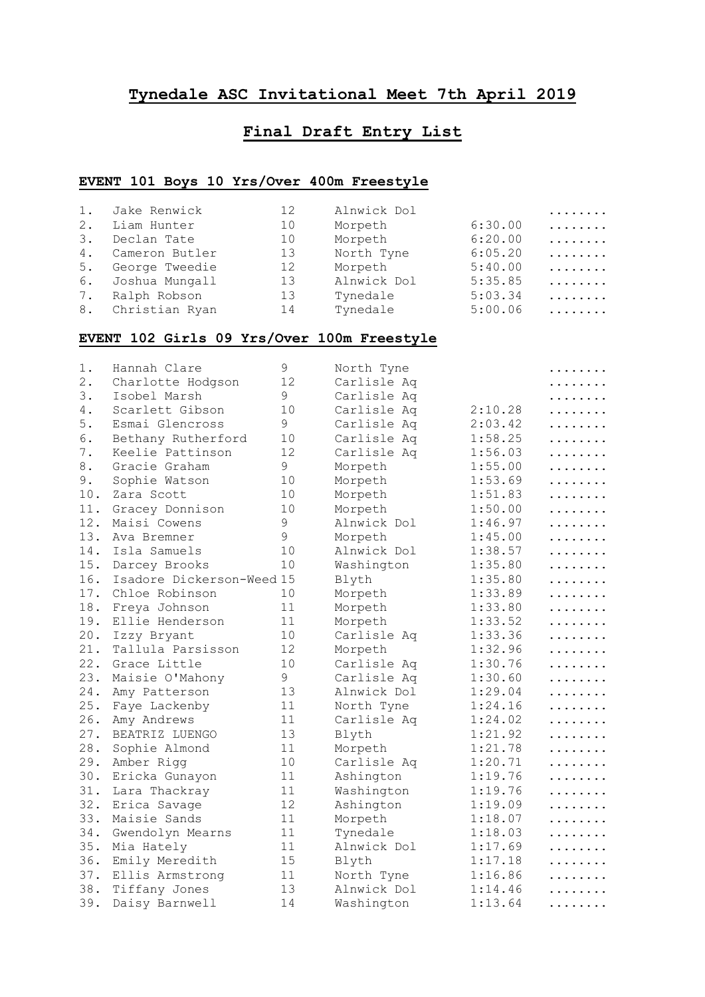#### **Tynedale ASC Invitational Meet 7th April 2019**

## **Final Draft Entry List**

#### **EVENT 101 Boys 10 Yrs/Over 400m Freestyle**

|    | 1. Jake Renwick   | 12 | Alnwick Dol |         | . |
|----|-------------------|----|-------------|---------|---|
| 2. | Liam Hunter       | 10 | Morpeth     | 6:30.00 | . |
| 3. | Declan Tate       | 10 | Morpeth     | 6:20.00 | . |
| 4. | Cameron Butler    | 13 | North Tyne  | 6:05.20 | . |
| 5. | George Tweedie    | 12 | Morpeth     | 5:40.00 | . |
| 6. | Joshua Mungall    | 13 | Alnwick Dol | 5:35.85 | . |
| 7. | Ralph Robson      | 13 | Tynedale    | 5:03.34 | . |
|    | 8. Christian Ryan | 14 | Tynedale    | 5:00.06 | . |

#### **EVENT 102 Girls 09 Yrs/Over 100m Freestyle**

| 1.    | Hannah Clare              | $\mathsf 9$   | North Tyne  |         | . |
|-------|---------------------------|---------------|-------------|---------|---|
| 2.    | Charlotte Hodgson         | 12            | Carlisle Aq |         | . |
| 3.    | Isobel Marsh              | 9             | Carlisle Aq |         | . |
| 4.    | Scarlett Gibson           | 10            | Carlisle Aq | 2:10.28 | . |
| 5.    | Esmai Glencross           | 9             | Carlisle Aq | 2:03.42 | . |
| 6.    | Bethany Rutherford        | 10            | Carlisle Aq | 1:58.25 | . |
| $7$ . | Keelie Pattinson          | 12            | Carlisle Aq | 1:56.03 | . |
| 8.    | Gracie Graham             | 9             | Morpeth     | 1:55.00 | . |
| 9.    | Sophie Watson             | 10            | Morpeth     | 1:53.69 | . |
| 10.   | Zara Scott                | 10            | Morpeth     | 1:51.83 | . |
| 11.   | Gracey Donnison           | 10            | Morpeth     | 1:50.00 | . |
| 12.   | Maisi Cowens              | 9             | Alnwick Dol | 1:46.97 | . |
| 13.   | Ava Bremner               | $\mathcal{G}$ | Morpeth     | 1:45.00 | . |
| 14.   | Isla Samuels              | 10            | Alnwick Dol | 1:38.57 | . |
| 15.   | Darcey Brooks             | 10            | Washington  | 1:35.80 | . |
| 16.   | Isadore Dickerson-Weed 15 |               | Blyth       | 1:35.80 | . |
| 17.   | Chloe Robinson            | 10            | Morpeth     | 1:33.89 | . |
| 18.   | Freya Johnson             | 11            | Morpeth     | 1:33.80 | . |
| 19.   | Ellie Henderson           | 11            | Morpeth     | 1:33.52 | . |
| 20.   | Izzy Bryant               | 10            | Carlisle Aq | 1:33.36 | . |
| 21.   | Tallula Parsisson         | 12            | Morpeth     | 1:32.96 | . |
| 22.   | Grace Little              | 10            | Carlisle Aq | 1:30.76 | . |
| 23.   | Maisie O'Mahony           | 9             | Carlisle Aq | 1:30.60 | . |
| 24.   | Amy Patterson             | 13            | Alnwick Dol | 1:29.04 | . |
| 25.   | Faye Lackenby             | 11            | North Tyne  | 1:24.16 | . |
| 26.   | Amy Andrews               | 11            | Carlisle Aq | 1:24.02 | . |
| 27.   | BEATRIZ LUENGO            | 13            | Blyth       | 1:21.92 | . |
| 28.   | Sophie Almond             | 11            | Morpeth     | 1:21.78 | . |
| 29.   | Amber Rigg                | 10            | Carlisle Aq | 1:20.71 | . |
| 30.   | Ericka Gunayon            | 11            | Ashington   | 1:19.76 | . |
| 31.   | Lara Thackray             | 11            | Washington  | 1:19.76 | . |
| 32.   | Erica Savage              | 12            | Ashington   | 1:19.09 | . |
| 33.   | Maisie Sands              | 11            | Morpeth     | 1:18.07 | . |
| 34.   | Gwendolyn Mearns          | 11            | Tynedale    | 1:18.03 | . |
| 35.   | Mia Hately                | 11            | Alnwick Dol | 1:17.69 | . |
| 36.   | Emily Meredith            | 15            | Blyth       | 1:17.18 | . |
| 37.   | Ellis Armstrong           | 11            | North Tyne  | 1:16.86 | . |
| 38.   | Tiffany Jones             | 13            | Alnwick Dol | 1:14.46 | . |
| 39.   | Daisy Barnwell            | 14            | Washington  | 1:13.64 | . |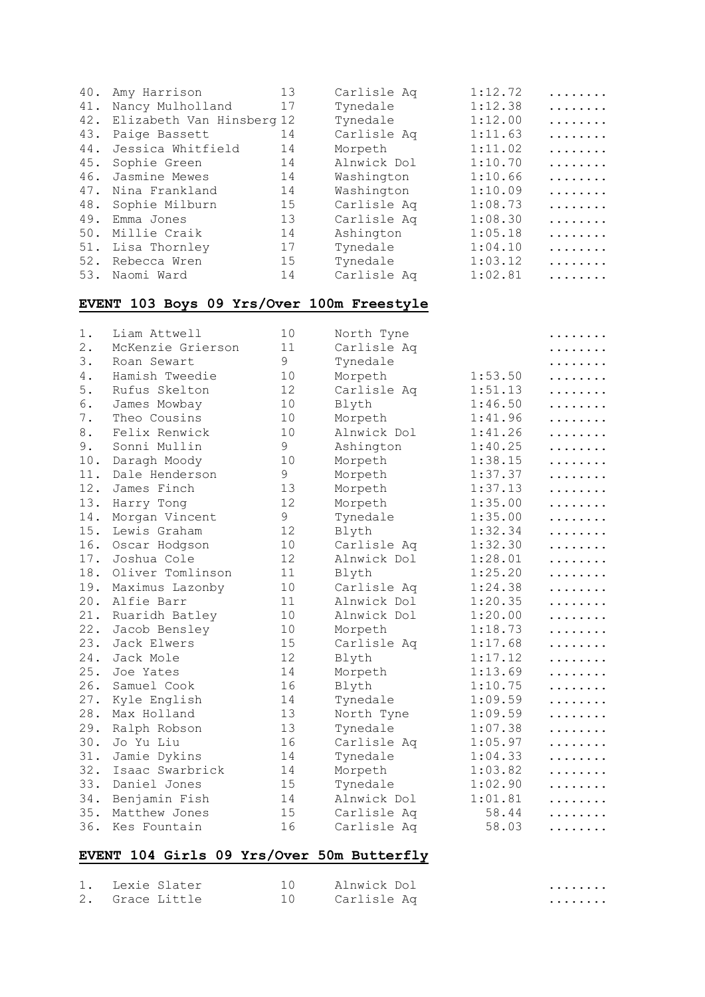| 40. | Amy Harrison              | 13 | Carlisle Aq | 1:12.72 | . |
|-----|---------------------------|----|-------------|---------|---|
| 41. | Nancy Mulholland          | 17 | Tynedale    | 1:12.38 | . |
| 42. | Elizabeth Van Hinsberg 12 |    | Tynedale    | 1:12.00 | . |
| 43. | Paige Bassett             | 14 | Carlisle Aq | 1:11.63 | . |
| 44. | Jessica Whitfield         | 14 | Morpeth     | 1:11.02 | . |
| 45. | Sophie Green              | 14 | Alnwick Dol | 1:10.70 | . |
| 46. | Jasmine Mewes             | 14 | Washington  | 1:10.66 | . |
| 47. | Nina Frankland            | 14 | Washington  | 1:10.09 | . |
|     | 48. Sophie Milburn        | 15 | Carlisle Aq | 1:08.73 | . |
| 49. | Emma Jones                | 13 | Carlisle Aq | 1:08.30 | . |
| 50. | Millie Craik              | 14 | Ashington   | 1:05.18 | . |
|     | 51. Lisa Thornley         | 17 | Tynedale    | 1:04.10 | . |
| 52. | Rebecca Wren              | 15 | Tynedale    | 1:03.12 | . |
| 53. | Naomi Ward                | 14 | Carlisle Aq | 1:02.81 | . |

#### **EVENT 103 Boys 09 Yrs/Over 100m Freestyle**

| $1$ . | Liam Attwell      | 10 | North Tyne  |         | . |
|-------|-------------------|----|-------------|---------|---|
| $2$ . | McKenzie Grierson | 11 | Carlisle Aq |         |   |
| 3.    | Roan Sewart       | 9  | Tynedale    |         | . |
| 4.    | Hamish Tweedie    | 10 | Morpeth     | 1:53.50 | . |
| 5.    | Rufus Skelton     | 12 | Carlisle Aq | 1:51.13 | . |
| 6.    | James Mowbay      | 10 | Blyth       | 1:46.50 | . |
| $7$ . | Theo Cousins      | 10 | Morpeth     | 1:41.96 | . |
| 8.    | Felix Renwick     | 10 | Alnwick Dol | 1:41.26 | . |
| 9.    | Sonni Mullin      | 9  | Ashington   | 1:40.25 | . |
| 10.   | Daragh Moody      | 10 | Morpeth     | 1:38.15 | . |
| 11.   | Dale Henderson    | 9  | Morpeth     | 1:37.37 | . |
| 12.   | James Finch       | 13 | Morpeth     | 1:37.13 | . |
| 13.   | Harry Tong        | 12 | Morpeth     | 1:35.00 | . |
| 14.   | Morgan Vincent    | 9  | Tynedale    | 1:35.00 | . |
| 15.   | Lewis Graham      | 12 | Blyth       | 1:32.34 |   |
| 16.   | Oscar Hodgson     | 10 | Carlisle Aq | 1:32.30 | . |
| 17.   | Joshua Cole       | 12 | Alnwick Dol | 1:28.01 | . |
| 18.   | Oliver Tomlinson  | 11 | Blyth       | 1:25.20 | . |
| 19.   | Maximus Lazonby   | 10 | Carlisle Aq | 1:24.38 | . |
| 20.   | Alfie Barr        | 11 | Alnwick Dol | 1:20.35 | . |
| 21.   | Ruaridh Batley    | 10 | Alnwick Dol | 1:20.00 | . |
| 22.   | Jacob Bensley     | 10 | Morpeth     | 1:18.73 | . |
| 23.   | Jack Elwers       | 15 | Carlisle Aq | 1:17.68 | . |
| 24.   | Jack Mole         | 12 | Blyth       | 1:17.12 | . |
| 25.   | Joe Yates         | 14 | Morpeth     | 1:13.69 |   |
| 26.   | Samuel Cook       | 16 | Blyth       | 1:10.75 |   |
| 27.   | Kyle English      | 14 | Tynedale    | 1:09.59 |   |
| 28.   | Max Holland       | 13 | North Tyne  | 1:09.59 |   |
| 29.   | Ralph Robson      | 13 | Tynedale    | 1:07.38 |   |
| 30.   | Jo Yu Liu         | 16 | Carlisle Aq | 1:05.97 |   |
| 31.   | Jamie Dykins      | 14 | Tynedale    | 1:04.33 | . |
| 32.   | Isaac Swarbrick   | 14 | Morpeth     | 1:03.82 | . |
| 33.   | Daniel Jones      | 15 | Tynedale    | 1:02.90 | . |
| 34.   | Benjamin Fish     | 14 | Alnwick Dol | 1:01.81 | . |
| 35.   | Matthew Jones     | 15 | Carlisle Aq | 58.44   | . |
| 36.   | Kes Fountain      | 16 | Carlisle Aq | 58.03   | . |

# **EVENT 104 Girls 09 Yrs/Over 50m Butterfly**

| 1. Lexie Slater | 10 Alnwick Dol | . |
|-----------------|----------------|---|
| 2. Grace Little | 10 Carlisle Aq | . |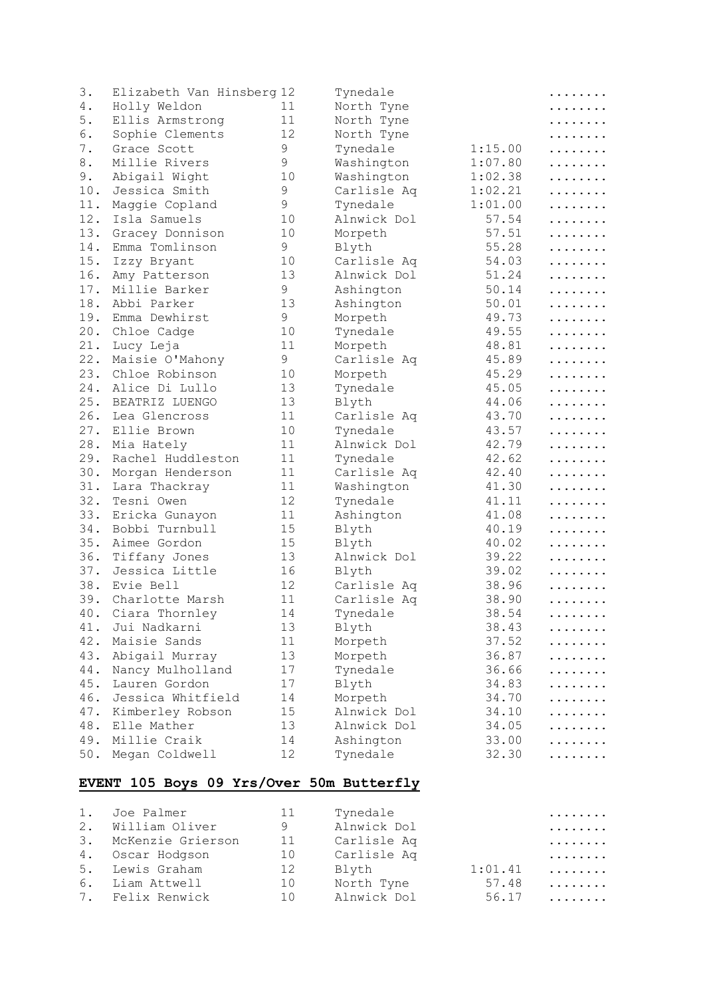| 3.     | Elizabeth Van Hinsberg 12         |    | Tynedale    |         | .              |
|--------|-----------------------------------|----|-------------|---------|----------------|
| 4.     | Holly Weldon                      | 11 | North Tyne  |         | .              |
| 5.     | Ellis Armstrong                   | 11 | North Tyne  |         | .              |
| 6.     | Sophie Clements                   | 12 | North Tyne  |         | .              |
| 7.     | Grace Scott                       | 9  | Tynedale    | 1:15.00 | .              |
| 8.     | Millie Rivers                     | 9  | Washington  | 1:07.80 | .              |
| 9.     | Abigail Wight                     | 10 | Washington  | 1:02.38 | .              |
| 10.    | Jessica Smith                     | 9  | Carlisle Aq | 1:02.21 | .              |
| 11.    | Maggie Copland                    | 9  | Tynedale    | 1:01.00 | .              |
| 12.    | Isla Samuels                      | 10 | Alnwick Dol | 57.54   | .              |
| 13.    | Gracey Donnison                   | 10 | Morpeth     | 57.51   | .              |
| 14.    | Emma Tomlinson                    | 9  | Blyth       | 55.28   | .              |
| 15.    | Izzy Bryant                       | 10 | Carlisle Aq | 54.03   | .              |
| 16.    | Amy Patterson                     | 13 | Alnwick Dol | 51.24   | .              |
| 17.    | Millie Barker                     | 9  | Ashington   | 50.14   | .              |
| 18.    | Abbi Parker                       | 13 | Ashington   | 50.01   | .              |
| 19.    | Emma Dewhirst                     | 9  | Morpeth     | 49.73   | .              |
| 20.    | Chloe Cadge                       | 10 | Tynedale    | 49.55   | .              |
| 21.    | Lucy Leja                         | 11 | Morpeth     | 48.81   | .              |
| 22.    | Maisie O'Mahony                   | 9  | Carlisle Aq | 45.89   | .              |
| 23.    | Chloe Robinson                    | 10 | Morpeth     | 45.29   | .              |
| 24.    | Alice Di Lullo                    | 13 | Tynedale    | 45.05   | .              |
| 25.    | BEATRIZ LUENGO                    | 13 | Blyth       | 44.06   | .              |
| 26.    | Lea Glencross                     | 11 | Carlisle Aq | 43.70   | .              |
| 27.    | Ellie Brown                       | 10 | Tynedale    | 43.57   | .              |
| 28.    | Mia Hately                        | 11 | Alnwick Dol | 42.79   | .              |
| 29.    | Rachel Huddleston                 | 11 | Tynedale    | 42.62   |                |
| 30.    |                                   | 11 | Carlisle Aq | 42.40   | .              |
| 31.    | Morgan Henderson<br>Lara Thackray | 11 |             | 41.30   | .              |
| 32.    |                                   | 12 | Washington  |         | .              |
| 33.    | Tesni Owen                        | 11 | Tynedale    | 41.11   | .              |
|        | Ericka Gunayon                    |    | Ashington   | 41.08   | .              |
| 34.    | Bobbi Turnbull                    | 15 | Blyth       | 40.19   | .              |
| 35.    | Aimee Gordon                      | 15 | Blyth       | 40.02   | .              |
| 36.    | Tiffany Jones                     | 13 | Alnwick Dol | 39.22   | .              |
| 37.    | Jessica Little                    | 16 | Blyth       | 39.02   | .              |
| 38.    | Evie Bell                         | 12 | Carlisle Aq | 38.96   | .              |
| 39.    | Charlotte Marsh                   | 11 | Carlisle Aq | 38.90   | .              |
| $40$ . | Ciara Thornley                    | 14 | Tynedale    | 38.54   | . <sub>.</sub> |
| 41.    | Jui Nadkarni                      | 13 | Blyth       | 38.43   | .              |
| 42.    | Maisie Sands                      | 11 | Morpeth     | 37.52   | .              |
| 43.    | Abigail Murray                    | 13 | Morpeth     | 36.87   | .              |
| 44.    | Nancy Mulholland                  | 17 | Tynedale    | 36.66   | .              |
| 45.    | Lauren Gordon                     | 17 | Blyth       | 34.83   | .              |
| 46.    | Jessica Whitfield                 | 14 | Morpeth     | 34.70   | .              |
| 47.    | Kimberley Robson                  | 15 | Alnwick Dol | 34.10   | .              |
| 48.    | Elle Mather                       | 13 | Alnwick Dol | 34.05   | .              |
| 49.    | Millie Craik                      | 14 | Ashington   | 33.00   | .              |
| $50.$  | Megan Coldwell                    | 12 | Tynedale    | 32.30   |                |
|        |                                   |    |             |         |                |

#### **EVENT 105 Boys 09 Yrs/Over 50m Butterfly**

|    | 1. Joe Palmer     | 11 | Tynedale    |         | . |
|----|-------------------|----|-------------|---------|---|
|    | 2. William Oliver | 9  | Alnwick Dol |         | . |
| 3. | McKenzie Grierson | 11 | Carlisle Aq |         | . |
|    | 4. Oscar Hodgson  | 10 | Carlisle Aq |         | . |
|    | 5. Lewis Graham   | 12 | Blyth       | 1:01.41 | . |
|    | 6. Liam Attwell   | 10 | North Tyne  | 57.48   | . |
|    | 7. Felix Renwick  | 10 | Alnwick Dol | 56.17   | . |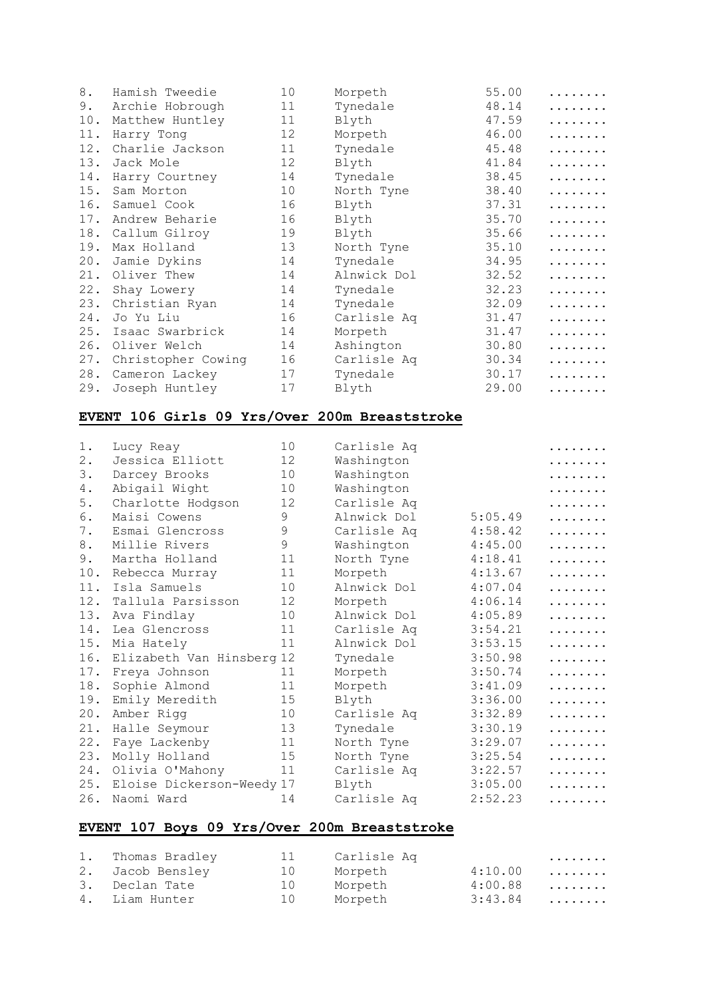| 8.  | Hamish Tweedie     | 10 | Morpeth     | 55.00 | . |
|-----|--------------------|----|-------------|-------|---|
| 9.  | Archie Hobrough    | 11 | Tynedale    | 48.14 | . |
| 10. | Matthew Huntley    | 11 | Blyth       | 47.59 | . |
| 11. | Harry Tong         | 12 | Morpeth     | 46.00 | . |
| 12. | Charlie Jackson    | 11 | Tynedale    | 45.48 | . |
| 13. | Jack Mole          | 12 | Blyth       | 41.84 | . |
| 14. | Harry Courtney     | 14 | Tynedale    | 38.45 | . |
| 15. | Sam Morton         | 10 | North Tyne  | 38.40 | . |
| 16. | Samuel Cook        | 16 | Blyth       | 37.31 | . |
| 17. | Andrew Beharie     | 16 | Blyth       | 35.70 | . |
| 18. | Callum Gilroy      | 19 | Blyth       | 35.66 | . |
| 19. | Max Holland        | 13 | North Tyne  | 35.10 | . |
| 20. | Jamie Dykins       | 14 | Tynedale    | 34.95 | . |
| 21. | Oliver Thew        | 14 | Alnwick Dol | 32.52 | . |
| 22. | Shay Lowery        | 14 | Tynedale    | 32.23 | . |
| 23. | Christian Ryan     | 14 | Tynedale    | 32.09 | . |
| 24. | Jo Yu Liu          | 16 | Carlisle Aq | 31.47 | . |
| 25. | Isaac Swarbrick    | 14 | Morpeth     | 31.47 | . |
| 26. | Oliver Welch       | 14 | Ashington   | 30.80 | . |
| 27. | Christopher Cowing | 16 | Carlisle Aq | 30.34 | . |
| 28. | Cameron Lackey     | 17 | Tynedale    | 30.17 | . |
| 29. | Joseph Huntley     | 17 | Blyth       | 29.00 | . |

#### **EVENT 106 Girls 09 Yrs/Over 200m Breaststroke**

| $1$ . | Lucy Reay                 | 10 | Carlisle Aq |         | . |
|-------|---------------------------|----|-------------|---------|---|
| $2$ . | Jessica Elliott           | 12 | Washington  |         | . |
| 3.    | Darcey Brooks             | 10 | Washington  |         | . |
| 4.    | Abigail Wight             | 10 | Washington  |         | . |
| 5.    | Charlotte Hodgson         | 12 | Carlisle Aq |         |   |
| 6.    | Maisi Cowens              | 9  | Alnwick Dol | 5:05.49 | . |
| 7.    | Esmai Glencross           | 9  | Carlisle Aq | 4:58.42 | . |
| 8.    | Millie Rivers             | 9  | Washington  | 4:45.00 | . |
| 9.    | Martha Holland            | 11 | North Tyne  | 4:18.41 | . |
| 10.   | Rebecca Murray            | 11 | Morpeth     | 4:13.67 | . |
| 11.   | Isla Samuels              | 10 | Alnwick Dol | 4:07.04 | . |
| 12.   | Tallula Parsisson         | 12 | Morpeth     | 4:06.14 | . |
| 13.   | Ava Findlay               | 10 | Alnwick Dol | 4:05.89 | . |
| 14.   | Lea Glencross             | 11 | Carlisle Aq | 3:54.21 | . |
| 15.   | Mia Hately                | 11 | Alnwick Dol | 3:53.15 | . |
| 16.   | Elizabeth Van Hinsberg 12 |    | Tynedale    | 3:50.98 | . |
| 17.   | Freya Johnson             | 11 | Morpeth     | 3:50.74 | . |
| 18.   | Sophie Almond             | 11 | Morpeth     | 3:41.09 | . |
| 19.   | Emily Meredith            | 15 | Blyth       | 3:36.00 | . |
| 20.   | Amber Rigg                | 10 | Carlisle Aq | 3:32.89 | . |
| 21.   | Halle Seymour             | 13 | Tynedale    | 3:30.19 | . |
| 22.   | Faye Lackenby             | 11 | North Tyne  | 3:29.07 | . |
| 23.   | Molly Holland             | 15 | North Tyne  | 3:25.54 | . |
| 24.   | Olivia O'Mahony           | 11 | Carlisle Aq | 3:22.57 | . |
| 25.   | Eloise Dickerson-Weedy 17 |    | Blyth       | 3:05.00 | . |
| 26.   | Naomi Ward                | 14 | Carlisle Aq | 2:52.23 | . |

## **EVENT 107 Boys 09 Yrs/Over 200m Breaststroke**

| 1. Thomas Bradley | 11 | Carlisle Aq |           | . |
|-------------------|----|-------------|-----------|---|
| 2. Jacob Bensley  | 10 | Morpeth     | $4:10.00$ |   |
| 3. Declan Tate    | 10 | Morpeth     | $4:00.88$ |   |
| 4. Liam Hunter    | 10 | Morpeth     | $3:43.84$ |   |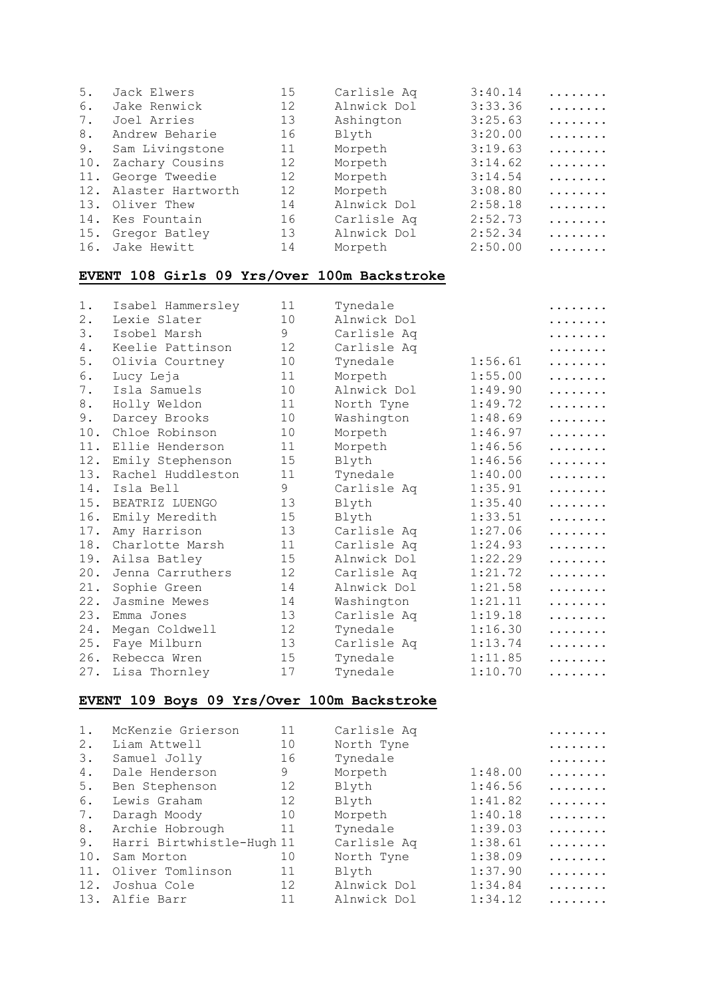| 5.  | Jack Elwers           | 15 | Carlisle Aq | 3:40.14 | . |
|-----|-----------------------|----|-------------|---------|---|
| 6.  | Jake Renwick          | 12 | Alnwick Dol | 3:33.36 | . |
| 7.  | Joel Arries           | 13 | Ashington   | 3:25.63 | . |
| 8.  | Andrew Beharie        | 16 | Blyth       | 3:20.00 | . |
| 9.  | Sam Livingstone       | 11 | Morpeth     | 3:19.63 | . |
| 10. | Zachary Cousins       | 12 | Morpeth     | 3:14.62 | . |
| 11. | George Tweedie        | 12 | Morpeth     | 3:14.54 | . |
|     | 12. Alaster Hartworth | 12 | Morpeth     | 3:08.80 | . |
|     | 13. Oliver Thew       | 14 | Alnwick Dol | 2:58.18 | . |
|     | 14. Kes Fountain      | 16 | Carlisle Aq | 2:52.73 | . |
|     | 15. Gregor Batley     | 13 | Alnwick Dol | 2:52.34 | . |
|     | 16. Jake Hewitt       | 14 | Morpeth     | 2:50.00 | . |

## **EVENT 108 Girls 09 Yrs/Over 100m Backstroke**

| $1$ . | Isabel Hammersley | 11 | Tynedale    |         | . |
|-------|-------------------|----|-------------|---------|---|
| 2.    | Lexie Slater      | 10 | Alnwick Dol |         | . |
| 3.    | Isobel Marsh      | 9  | Carlisle Aq |         | . |
| 4.    | Keelie Pattinson  | 12 | Carlisle Aq |         | . |
| 5.    | Olivia Courtney   | 10 | Tynedale    | 1:56.61 | . |
| 6.    | Lucy Leja         | 11 | Morpeth     | 1:55.00 | . |
| 7.    | Isla Samuels      | 10 | Alnwick Dol | 1:49.90 | . |
| 8.    | Holly Weldon      | 11 | North Tyne  | 1:49.72 | . |
| 9.    | Darcey Brooks     | 10 | Washington  | 1:48.69 | . |
| 10.   | Chloe Robinson    | 10 | Morpeth     | 1:46.97 | . |
| 11.   | Ellie Henderson   | 11 | Morpeth     | 1:46.56 | . |
| 12.   | Emily Stephenson  | 15 | Blyth       | 1:46.56 | . |
| 13.   | Rachel Huddleston | 11 | Tynedale    | 1:40.00 | . |
| 14.   | Isla Bell         | 9  | Carlisle Aq | 1:35.91 | . |
| 15.   | BEATRIZ LUENGO    | 13 | Blyth       | 1:35.40 | . |
| 16.   | Emily Meredith    | 15 | Blyth       | 1:33.51 | . |
| 17.   | Amy Harrison      | 13 | Carlisle Aq | 1:27.06 | . |
| 18.   | Charlotte Marsh   | 11 | Carlisle Aq | 1:24.93 | . |
| 19.   | Ailsa Batley      | 15 | Alnwick Dol | 1:22.29 | . |
| 20.   | Jenna Carruthers  | 12 | Carlisle Aq | 1:21.72 | . |
| 21.   | Sophie Green      | 14 | Alnwick Dol | 1:21.58 | . |
| 22.   | Jasmine Mewes     | 14 | Washington  | 1:21.11 | . |
| 23.   | Emma Jones        | 13 | Carlisle Aq | 1:19.18 | . |
| 24.   | Megan Coldwell    | 12 | Tynedale    | 1:16.30 | . |
| 25.   | Faye Milburn      | 13 | Carlisle Aq | 1:13.74 | . |
| 26.   | Rebecca Wren      | 15 | Tynedale    | 1:11.85 | . |
| 27.   | Lisa Thornley     | 17 | Tynedale    | 1:10.70 | . |

# **EVENT 109 Boys 09 Yrs/Over 100m Backstroke**

| $1$ . | McKenzie Grierson         | 11 | Carlisle Aq |         | . |
|-------|---------------------------|----|-------------|---------|---|
| 2.    | Liam Attwell              | 10 | North Tyne  |         | . |
| 3.    | Samuel Jolly              | 16 | Tynedale    |         | . |
| 4.    | Dale Henderson            | 9  | Morpeth     | 1:48.00 | . |
| 5.    | Ben Stephenson            | 12 | Blyth       | 1:46.56 | . |
| 6.    | Lewis Graham              | 12 | Blyth       | 1:41.82 | . |
| 7.    | Daragh Moody              | 10 | Morpeth     | 1:40.18 | . |
| 8.    | Archie Hobrough           | 11 | Tynedale    | 1:39.03 | . |
| 9.    | Harri Birtwhistle-Hugh 11 |    | Carlisle Aq | 1:38.61 | . |
| 10.   | Sam Morton                | 10 | North Tyne  | 1:38.09 | . |
| 11.   | Oliver Tomlinson          | 11 | Blyth       | 1:37.90 | . |
| 12.   | Joshua Cole               | 12 | Alnwick Dol | 1:34.84 | . |
|       | 13. Alfie Barr            | 11 | Alnwick Dol | 1:34.12 | . |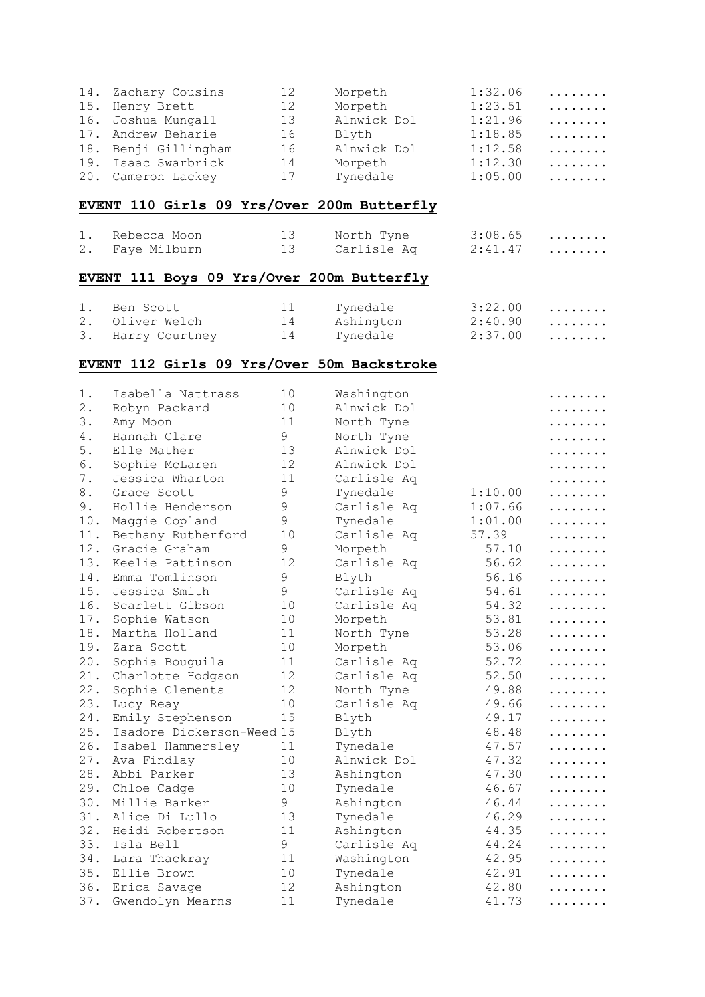| 14. Zachary Cousins  | 12 | Morpeth     | 1:32.06 | . |
|----------------------|----|-------------|---------|---|
| 15. Henry Brett      | 12 | Morpeth     | 1:23.51 | . |
| 16. Joshua Mungall   | 13 | Alnwick Dol | 1:21.96 | . |
| 17. Andrew Beharie   | 16 | Blyth       | 1:18.85 | . |
| 18. Benji Gillingham | 16 | Alnwick Dol | 1:12.58 | . |
| 19. Isaac Swarbrick  | 14 | Morpeth     | 1:12.30 | . |
| 20. Cameron Lackey   | 17 | Tynedale    | 1:05.00 | . |

## **EVENT 110 Girls 09 Yrs/Over 200m Butterfly**

| 1. Rebecca Moon | 13 North Tyne  | $3:08.65$ |  |
|-----------------|----------------|-----------|--|
| 2. Faye Milburn | 13 Carlisle Aq | 2:41.47   |  |

#### **EVENT 111 Boys 09 Yrs/Over 200m Butterfly**

| 1. Ben Scott      | 11 | Tynedale  | $3:22.00$ |  |
|-------------------|----|-----------|-----------|--|
| 2. Oliver Welch   | 14 | Ashington | 2:40.90   |  |
| 3. Harry Courtney | 14 | Tynedale  | 2:37.00   |  |

#### **EVENT 112 Girls 09 Yrs/Over 50m Backstroke**

| $1$ . | Isabella Nattrass         | 10          | Washington  |         | . |
|-------|---------------------------|-------------|-------------|---------|---|
| 2.    | Robyn Packard             | 10          | Alnwick Dol |         | . |
| 3.    | Amy Moon                  | 11          | North Tyne  |         |   |
| 4.    | Hannah Clare              | 9           | North Tyne  |         |   |
| 5.    | Elle Mather               | 13          | Alnwick Dol |         |   |
| 6.    | Sophie McLaren            | 12          | Alnwick Dol |         |   |
| 7.    | Jessica Wharton           | 11          | Carlisle Aq |         |   |
| 8.    | Grace Scott               | $\mathsf 9$ | Tynedale    | 1:10.00 | . |
| 9.    | Hollie Henderson          | $\mathsf 9$ | Carlisle Aq | 1:07.66 | . |
| 10.   | Maggie Copland            | 9           | Tynedale    | 1:01.00 | . |
| 11.   | Bethany Rutherford        | 10          | Carlisle Aq | 57.39   | . |
| 12.   | Gracie Graham             | 9           | Morpeth     | 57.10   | . |
| 13.   | Keelie Pattinson          | 12          | Carlisle Aq | 56.62   | . |
| 14.   | Emma Tomlinson            | 9           | Blyth       | 56.16   | . |
| 15.   | Jessica Smith             | 9           | Carlisle Aq | 54.61   | . |
| 16.   | Scarlett Gibson           | 10          | Carlisle Aq | 54.32   | . |
| 17.   | Sophie Watson             | 10          | Morpeth     | 53.81   | . |
| 18.   | Martha Holland            | 11          | North Tyne  | 53.28   | . |
| 19.   | Zara Scott                | 10          | Morpeth     | 53.06   | . |
| 20.   | Sophia Bouguila           | 11          | Carlisle Aq | 52.72   | . |
| 21.   | Charlotte Hodgson         | 12          | Carlisle Aq | 52.50   | . |
| 22.   | Sophie Clements           | 12          | North Tyne  | 49.88   | . |
| 23.   | Lucy Reay                 | 10          | Carlisle Aq | 49.66   | . |
| 24.   | Emily Stephenson          | 15          | Blyth       | 49.17   | . |
| 25.   | Isadore Dickerson-Weed 15 |             | Blyth       | 48.48   | . |
| 26.   | Isabel Hammersley         | 11          | Tynedale    | 47.57   | . |
| 27.   | Ava Findlay               | 10          | Alnwick Dol | 47.32   | . |
| 28.   | Abbi Parker               | 13          | Ashington   | 47.30   | . |
| 29.   | Chloe Cadge               | 10          | Tynedale    | 46.67   | . |
| 30.   | Millie Barker             | 9           | Ashington   | 46.44   | . |
| 31.   | Alice Di Lullo            | 13          | Tynedale    | 46.29   | . |
| 32.   | Heidi Robertson           | 11          | Ashington   | 44.35   | . |
| 33.   | Isla Bell                 | 9           | Carlisle Aq | 44.24   | . |
| 34.   | Lara Thackray             | 11          | Washington  | 42.95   | . |
| 35.   | Ellie Brown               | 10          | Tynedale    | 42.91   | . |
| 36.   | Erica Savage              | 12          | Ashington   | 42.80   | . |
| 37.   | Gwendolyn Mearns          | 11          | Tynedale    | 41.73   | . |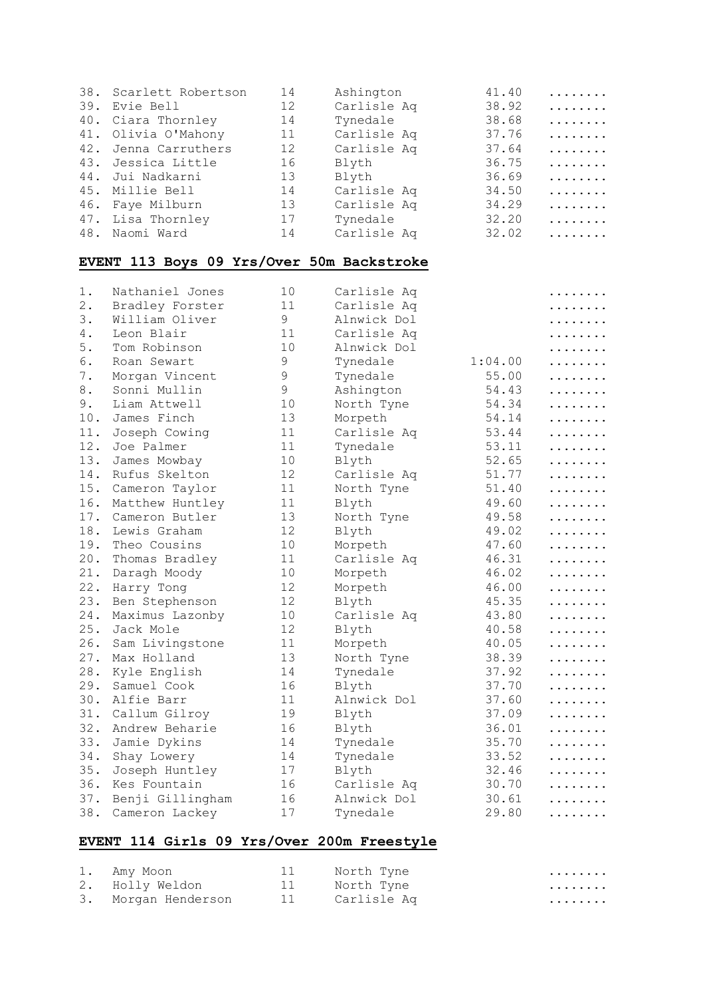| 38.   | Scarlett Robertson                        | 14 | Ashington   | 41.40   | . |
|-------|-------------------------------------------|----|-------------|---------|---|
| 39.   | Evie Bell                                 | 12 | Carlisle Aq | 38.92   | . |
| 40.   | Ciara Thornley                            | 14 | Tynedale    | 38.68   | . |
| 41.   | Olivia O'Mahony                           | 11 | Carlisle Aq | 37.76   | . |
| 42.   | Jenna Carruthers                          | 12 | Carlisle Aq | 37.64   | . |
| 43.   | Jessica Little                            | 16 | Blyth       | 36.75   | . |
| 44.   | Jui Nadkarni                              | 13 | Blyth       | 36.69   | . |
| 45.   | Millie Bell                               | 14 | Carlisle Aq | 34.50   | . |
| 46.   | Faye Milburn                              | 13 | Carlisle Aq | 34.29   | . |
| 47.   | Lisa Thornley                             | 17 | Tynedale    | 32.20   | . |
| 48.   | Naomi Ward                                | 14 | Carlisle Aq | 32.02   | . |
|       | EVENT 113 Boys 09 Yrs/Over 50m Backstroke |    |             |         |   |
|       |                                           |    |             |         |   |
| 1.    | Nathaniel Jones                           | 10 | Carlisle Aq |         | . |
| $2$ . | Bradley Forster                           | 11 | Carlisle Aq |         | . |
| 3.    | William Oliver                            | 9  | Alnwick Dol |         | . |
| 4.    | Leon Blair                                | 11 | Carlisle Aq |         | . |
| 5.    | Tom Robinson                              | 10 | Alnwick Dol |         | . |
| 6.    | Roan Sewart                               | 9  | Tynedale    | 1:04.00 | . |
| 7.    | Morgan Vincent                            | 9  | Tynedale    | 55.00   | . |
| 8.    | Sonni Mullin                              | 9  | Ashington   | 54.43   | . |
| 9.    | Liam Attwell                              | 10 | North Tyne  | 54.34   | . |
| 10.   | James Finch                               | 13 | Morpeth     | 54.14   | . |
| 11.   | Joseph Cowing                             | 11 | Carlisle Aq | 53.44   | . |
| 12.   | Joe Palmer                                | 11 | Tynedale    | 53.11   | . |
| 13.   | James Mowbay                              | 10 | Blyth       | 52.65   | . |
| 14.   | Rufus Skelton                             | 12 | Carlisle Aq | 51.77   | . |
| 15.   | Cameron Taylor                            | 11 | North Tyne  | 51.40   | . |
| 16.   | Matthew Huntley                           | 11 | Blyth       | 49.60   | . |
| 17.   | Cameron Butler                            | 13 | North Tyne  | 49.58   | . |
| 18.   | Lewis Graham                              | 12 | Blyth       | 49.02   | . |
| 19.   | Theo Cousins                              | 10 | Morpeth     | 47.60   | . |
| 20.   | Thomas Bradley                            | 11 | Carlisle Aq | 46.31   | . |
| 21.   | Daragh Moody                              | 10 | Morpeth     | 46.02   | . |
| 22.   | Harry Tong                                | 12 | Morpeth     | 46.00   | . |
| 23.   | Ben Stephenson                            | 12 | Blyth       | 45.35   | . |
| 24.   | Maximus Lazonby                           | 10 | Carlisle Aq | 43.80   | . |
| 25.   | Jack Mole                                 | 12 | Blyth       | 40.58   | . |
| 26.   | Sam Livingstone                           | 11 | Morpeth     | 40.05   | . |
| 27.   | Max Holland                               | 13 | North Tyne  | 38.39   | . |
| 28.   | Kyle English                              | 14 | Tynedale    | 37.92   | . |
| 29.   | Samuel Cook                               | 16 | Blyth       | 37.70   |   |
| 30.   | Alfie Barr                                | 11 | Alnwick Dol | 37.60   |   |
| 31.   | Callum Gilroy                             | 19 | Blyth       | 37.09   | . |
| 32.   | Andrew Beharie                            | 16 | Blyth       | 36.01   |   |
| 33.   | Jamie Dykins                              | 14 | Tynedale    | 35.70   |   |
| 34.   | Shay Lowery                               | 14 | Tynedale    | 33.52   | . |
| 35.   |                                           | 17 | Blyth       | 32.46   |   |
| 36.   | Joseph Huntley                            | 16 |             | 30.70   | . |
| 37.   | Kes Fountain                              | 16 | Carlisle Aq |         | . |
|       | Benji Gillingham                          |    | Alnwick Dol | 30.61   | . |
| 38.   | Cameron Lackey                            | 17 | Tynedale    | 29.80   |   |

## **EVENT 114 Girls 09 Yrs/Over 200m Freestyle**

| 1. Amy Moon         | 11 | North Tyne          | . |
|---------------------|----|---------------------|---|
| 2. Holly Weldon     |    | 11       North Tyne | . |
| 3. Morgan Henderson |    | 11 Carlisle Aq      | . |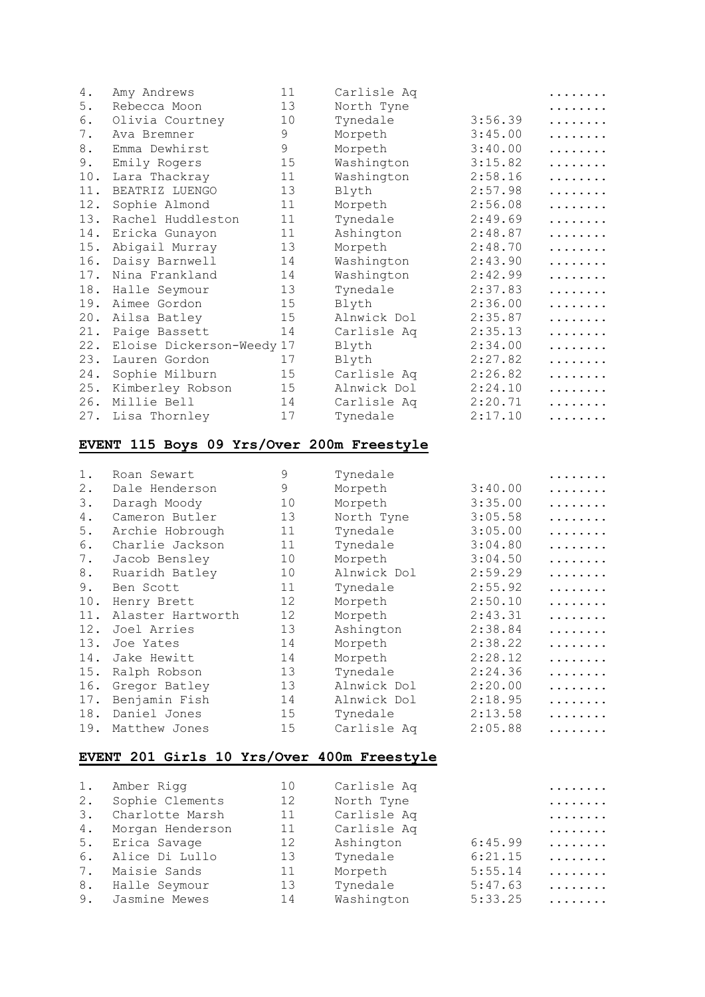| 4.  | Amy Andrews               | 11 | Carlisle Aq |         | . |
|-----|---------------------------|----|-------------|---------|---|
| 5.  | Rebecca Moon              | 13 | North Tyne  |         | . |
| 6.  | Olivia Courtney           | 10 | Tynedale    | 3:56.39 | . |
| 7.  | Ava Bremner               | 9  | Morpeth     | 3:45.00 | . |
| 8.  | Emma Dewhirst             | 9  | Morpeth     | 3:40.00 | . |
| 9.  | Emily Rogers              | 15 | Washington  | 3:15.82 | . |
| 10. | Lara Thackray             | 11 | Washington  | 2:58.16 | . |
| 11. | BEATRIZ LUENGO            | 13 | Blyth       | 2:57.98 | . |
| 12. | Sophie Almond             | 11 | Morpeth     | 2:56.08 | . |
| 13. | Rachel Huddleston         | 11 | Tynedale    | 2:49.69 | . |
| 14. | Ericka Gunayon            | 11 | Ashington   | 2:48.87 | . |
| 15. | Abigail Murray            | 13 | Morpeth     | 2:48.70 | . |
| 16. | Daisy Barnwell            | 14 | Washington  | 2:43.90 | . |
| 17. | Nina Frankland            | 14 | Washington  | 2:42.99 | . |
| 18. | Halle Seymour             | 13 | Tynedale    | 2:37.83 | . |
| 19. | Aimee Gordon              | 15 | Blyth       | 2:36.00 | . |
| 20. | Ailsa Batley              | 15 | Alnwick Dol | 2:35.87 | . |
| 21. | Paige Bassett             | 14 | Carlisle Aq | 2:35.13 | . |
| 22. | Eloise Dickerson-Weedy 17 |    | Blyth       | 2:34.00 | . |
| 23. | Lauren Gordon             | 17 | Blyth       | 2:27.82 | . |
| 24. | Sophie Milburn            | 15 | Carlisle Aq | 2:26.82 | . |
| 25. | Kimberley Robson          | 15 | Alnwick Dol | 2:24.10 | . |
| 26. | Millie Bell               | 14 | Carlisle Aq | 2:20.71 | . |
| 27. | Lisa Thornley             | 17 | Tynedale    | 2:17.10 | . |
|     |                           |    |             |         |   |

#### **EVENT 115 Boys 09 Yrs/Over 200m Freestyle**

| 1.  | Roan Sewart       | 9  | Tynedale    |         |   |
|-----|-------------------|----|-------------|---------|---|
| 2.  | Dale Henderson    | 9  | Morpeth     | 3:40.00 | . |
| 3.  | Daragh Moody      | 10 | Morpeth     | 3:35.00 | . |
| 4.  | Cameron Butler    | 13 | North Tyne  | 3:05.58 | . |
| 5.  | Archie Hobrough   | 11 | Tynedale    | 3:05.00 | . |
| 6.  | Charlie Jackson   | 11 | Tynedale    | 3:04.80 | . |
| 7.  | Jacob Bensley     | 10 | Morpeth     | 3:04.50 | . |
| 8.  | Ruaridh Batley    | 10 | Alnwick Dol | 2:59.29 | . |
| 9.  | Ben Scott         | 11 | Tynedale    | 2:55.92 | . |
| 10. | Henry Brett       | 12 | Morpeth     | 2:50.10 | . |
| 11. | Alaster Hartworth | 12 | Morpeth     | 2:43.31 | . |
| 12. | Joel Arries       | 13 | Ashington   | 2:38.84 | . |
| 13. | Joe Yates         | 14 | Morpeth     | 2:38.22 | . |
| 14. | Jake Hewitt       | 14 | Morpeth     | 2:28.12 | . |
| 15. | Ralph Robson      | 13 | Tynedale    | 2:24.36 | . |
| 16. | Gregor Batley     | 13 | Alnwick Dol | 2:20.00 | . |
| 17. | Benjamin Fish     | 14 | Alnwick Dol | 2:18.95 |   |
| 18. | Daniel Jones      | 15 | Tynedale    | 2:13.58 |   |
| 19. | Matthew Jones     | 15 | Carlisle Ag | 2:05.88 | . |

## **EVENT 201 Girls 10 Yrs/Over 400m Freestyle**

| 1. | Amber Rigg       | 10 | Carlisle Aq |         | . |
|----|------------------|----|-------------|---------|---|
| 2. | Sophie Clements  | 12 | North Tyne  |         | . |
| 3. | Charlotte Marsh  | 11 | Carlisle Aq |         | . |
| 4. | Morgan Henderson | 11 | Carlisle Aq |         | . |
| 5. | Erica Savage     | 12 | Ashington   | 6:45.99 | . |
| 6. | Alice Di Lullo   | 13 | Tynedale    | 6:21.15 | . |
| 7. | Maisie Sands     | 11 | Morpeth     | 5:55.14 | . |
| 8. | Halle Seymour    | 13 | Tynedale    | 5:47.63 | . |
| 9. | Jasmine Mewes    | 14 | Washington  | 5:33.25 | . |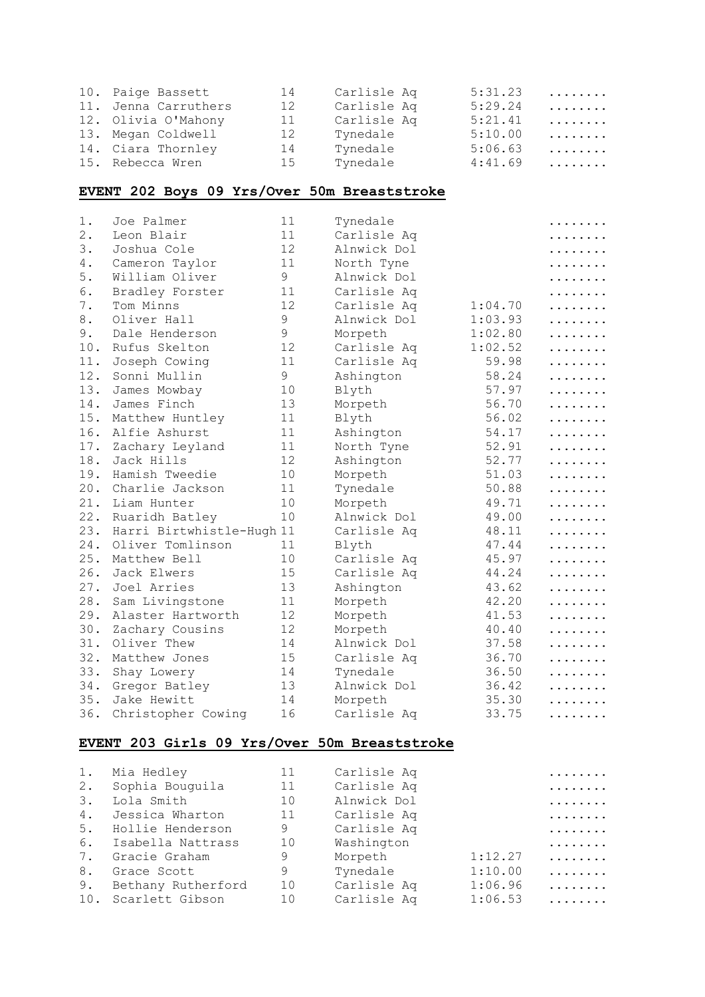| 10. Paige Bassett    | 14 | Carlisle Aq | 5:31.23 | .        |
|----------------------|----|-------------|---------|----------|
| 11. Jenna Carruthers | 12 | Carlisle Aq | 5:29.24 | $\ldots$ |
| 12. Olivia O'Mahony  | 11 | Carlisle Aq | 5:21.41 | .        |
| 13. Megan Coldwell   | 12 | Tynedale    | 5:10.00 | .        |
| 14. Ciara Thornley   | 14 | Tynedale    | 5:06.63 | .        |
| 15. Rebecca Wren     | 15 | Tynedale    | 4:41.69 | .        |

## **EVENT 202 Boys 09 Yrs/Over 50m Breaststroke**

| $1$ . | Joe Palmer                | 11            | Tynedale    |         | . |
|-------|---------------------------|---------------|-------------|---------|---|
| 2.    | Leon Blair                | 11            | Carlisle Aq |         | . |
| 3.    | Joshua Cole               | 12            | Alnwick Dol |         | . |
| 4.    | Cameron Taylor            | 11            | North Tyne  |         | . |
| 5.    | William Oliver            | 9             | Alnwick Dol |         | . |
| 6.    | Bradley Forster           | 11            | Carlisle Aq |         | . |
| 7.    | Tom Minns                 | 12            | Carlisle Aq | 1:04.70 | . |
| 8.    | Oliver Hall               | $\mathsf 9$   | Alnwick Dol | 1:03.93 | . |
| 9.    | Dale Henderson            | $\mathcal{G}$ | Morpeth     | 1:02.80 | . |
| 10.   | Rufus Skelton             | 12            | Carlisle Aq | 1:02.52 | . |
| 11.   | Joseph Cowing             | 11            | Carlisle Aq | 59.98   | . |
| 12.   | Sonni Mullin              | 9             | Ashington   | 58.24   | . |
| 13.   | James Mowbay              | 10            | Blyth       | 57.97   | . |
| 14.   | James Finch               | 13            | Morpeth     | 56.70   | . |
| 15.   | Matthew Huntley           | 11            | Blyth       | 56.02   | . |
| 16.   | Alfie Ashurst             | 11            | Ashington   | 54.17   | . |
| 17.   | Zachary Leyland           | 11            | North Tyne  | 52.91   | . |
| 18.   | Jack Hills                | 12            | Ashington   | 52.77   | . |
| 19.   | Hamish Tweedie            | 10            | Morpeth     | 51.03   | . |
| 20.   | Charlie Jackson           | 11            | Tynedale    | 50.88   | . |
| 21.   | Liam Hunter               | 10            | Morpeth     | 49.71   | . |
| 22.   | Ruaridh Batley            | 10            | Alnwick Dol | 49.00   | . |
| 23.   | Harri Birtwhistle-Hugh 11 |               | Carlisle Aq | 48.11   | . |
| 24.   | Oliver Tomlinson          | 11            | Blyth       | 47.44   | . |
| 25.   | Matthew Bell              | 10            | Carlisle Aq | 45.97   | . |
| 26.   | Jack Elwers               | 15            | Carlisle Aq | 44.24   | . |
| 27.   | Joel Arries               | 13            | Ashington   | 43.62   | . |
| 28.   | Sam Livingstone           | 11            | Morpeth     | 42.20   | . |
| 29.   | Alaster Hartworth         | 12            | Morpeth     | 41.53   | . |
| 30.   | Zachary Cousins           | 12            | Morpeth     | 40.40   | . |
| 31.   | Oliver Thew               | 14            | Alnwick Dol | 37.58   | . |
| 32.   | Matthew Jones             | 15            | Carlisle Aq | 36.70   | . |
| 33.   | Shay Lowery               | 14            | Tynedale    | 36.50   | . |
| 34.   | Gregor Batley             | 13            | Alnwick Dol | 36.42   | . |
| 35.   | Jake Hewitt               | 14            | Morpeth     | 35.30   | . |
| 36.   | Christopher Cowing        | 16            | Carlisle Aq | 33.75   | . |

#### **EVENT 203 Girls 09 Yrs/Over 50m Breaststroke**

| 1. | Mia Hedley          | 11 | Carlisle Aq |         | . |
|----|---------------------|----|-------------|---------|---|
| 2. | Sophia Bouguila     | 11 | Carlisle Aq |         | . |
| 3. | Lola Smith          | 10 | Alnwick Dol |         | . |
| 4. | Jessica Wharton     | 11 | Carlisle Aq |         | . |
| 5. | Hollie Henderson    | 9  | Carlisle Aq |         | . |
| 6. | Isabella Nattrass   | 10 | Washington  |         | . |
| 7. | Gracie Graham       | 9  | Morpeth     | 1:12.27 | . |
| 8. | Grace Scott         | 9  | Tynedale    | 1:10.00 | . |
| 9. | Bethany Rutherford  | 10 | Carlisle Aq | 1:06.96 | . |
|    | 10. Scarlett Gibson | 10 | Carlisle Aq | 1:06.53 | . |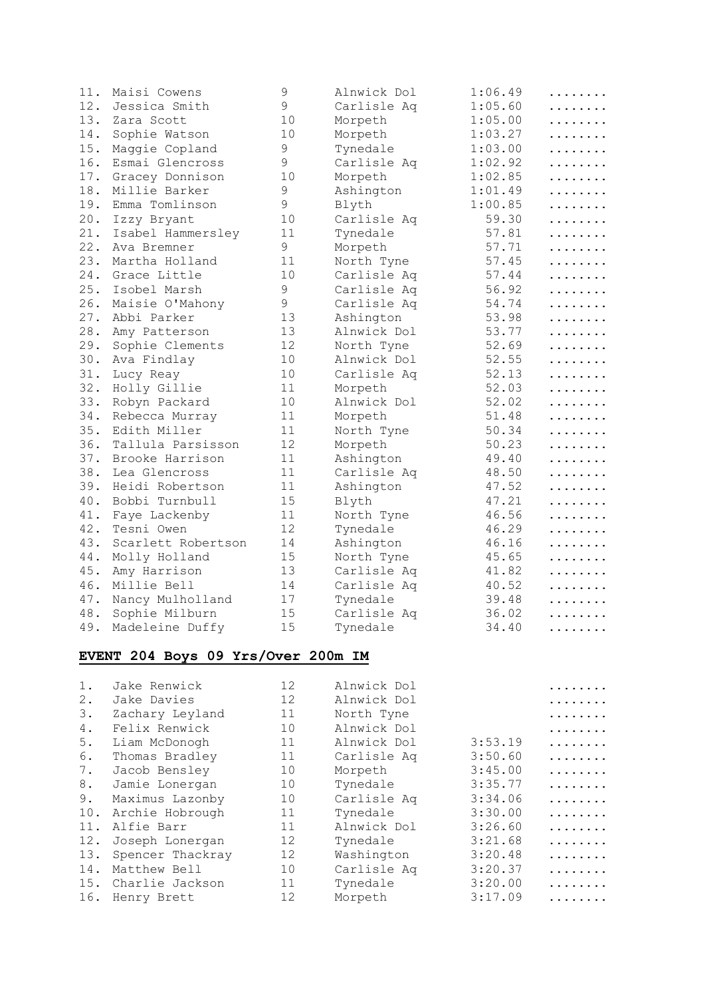| 11. | Maisi Cowens       | $\mathsf 9$ | Alnwick Dol | 1:06.49 | . |
|-----|--------------------|-------------|-------------|---------|---|
| 12. | Jessica Smith      | 9           | Carlisle Aq | 1:05.60 | . |
| 13. | Zara Scott         | 10          | Morpeth     | 1:05.00 | . |
| 14. | Sophie Watson      | 10          | Morpeth     | 1:03.27 | . |
| 15. | Maggie Copland     | 9           | Tynedale    | 1:03.00 | . |
| 16. | Esmai Glencross    | 9           | Carlisle Aq | 1:02.92 | . |
| 17. | Gracey Donnison    | 10          | Morpeth     | 1:02.85 | . |
| 18. | Millie Barker      | 9           | Ashington   | 1:01.49 | . |
| 19. | Emma Tomlinson     | 9           | Blyth       | 1:00.85 | . |
| 20. | Izzy Bryant        | 10          | Carlisle Aq | 59.30   | . |
| 21. | Isabel Hammersley  | 11          | Tynedale    | 57.81   | . |
| 22. | Ava Bremner        | 9           | Morpeth     | 57.71   | . |
| 23. | Martha Holland     | 11          | North Tyne  | 57.45   | . |
| 24. | Grace Little       | 10          | Carlisle Aq | 57.44   | . |
| 25. | Isobel Marsh       | 9           | Carlisle Aq | 56.92   | . |
| 26. | Maisie O'Mahony    | 9           | Carlisle Aq | 54.74   | . |
| 27. | Abbi Parker        | 13          | Ashington   | 53.98   | . |
| 28. | Amy Patterson      | 13          | Alnwick Dol | 53.77   | . |
| 29. | Sophie Clements    | 12          | North Tyne  | 52.69   | . |
| 30. | Ava Findlay        | 10          | Alnwick Dol | 52.55   | . |
| 31. | Lucy Reay          | 10          | Carlisle Aq | 52.13   | . |
| 32. | Holly Gillie       | 11          | Morpeth     | 52.03   | . |
| 33. | Robyn Packard      | 10          | Alnwick Dol | 52.02   | . |
| 34. | Rebecca Murray     | 11          | Morpeth     | 51.48   | . |
| 35. | Edith Miller       | 11          | North Tyne  | 50.34   | . |
| 36. | Tallula Parsisson  | 12          | Morpeth     | 50.23   | . |
| 37. | Brooke Harrison    | 11          | Ashington   | 49.40   | . |
| 38. | Lea Glencross      | 11          | Carlisle Aq | 48.50   | . |
| 39. | Heidi Robertson    | 11          | Ashington   | 47.52   | . |
| 40. | Bobbi Turnbull     | 15          | Blyth       | 47.21   | . |
| 41. | Faye Lackenby      | 11          | North Tyne  | 46.56   | . |
| 42. | Tesni Owen         | 12          | Tynedale    | 46.29   | . |
| 43. | Scarlett Robertson | 14          | Ashington   | 46.16   | . |
| 44. | Molly Holland      | 15          | North Tyne  | 45.65   | . |
| 45. | Amy Harrison       | 13          | Carlisle Aq | 41.82   | . |
| 46. | Millie Bell        | 14          | Carlisle Aq | 40.52   | . |
| 47. | Nancy Mulholland   | 17          | Tynedale    | 39.48   | . |
| 48. | Sophie Milburn     | 15          | Carlisle Aq | 36.02   | . |
| 49. | Madeleine Duffy    | 15          | Tynedale    | 34.40   | . |

## **EVENT 204 Boys 09 Yrs/Over 200m IM**

| Jake Renwick     | 12 | Alnwick Dol |         |   |
|------------------|----|-------------|---------|---|
| Jake Davies      | 12 | Alnwick Dol |         | . |
| Zachary Leyland  | 11 | North Tyne  |         | . |
| Felix Renwick    | 10 | Alnwick Dol |         |   |
| Liam McDonogh    | 11 | Alnwick Dol | 3:53.19 | . |
| Thomas Bradley   | 11 | Carlisle Aq | 3:50.60 | . |
| Jacob Bensley    | 10 | Morpeth     | 3:45.00 | . |
| Jamie Lonergan   | 10 | Tynedale    | 3:35.77 | . |
| Maximus Lazonby  | 10 | Carlisle Aq | 3:34.06 | . |
| Archie Hobrough  | 11 | Tynedale    | 3:30.00 | . |
| Alfie Barr       | 11 | Alnwick Dol | 3:26.60 | . |
| Joseph Lonergan  | 12 | Tynedale    | 3:21.68 | . |
| Spencer Thackray | 12 | Washington  | 3:20.48 | . |
| Matthew Bell     | 10 | Carlisle Aq | 3:20.37 | . |
| Charlie Jackson  | 11 | Tynedale    | 3:20.00 | . |
| Henry Brett      | 12 | Morpeth     | 3:17.09 | . |
|                  |    |             |         |   |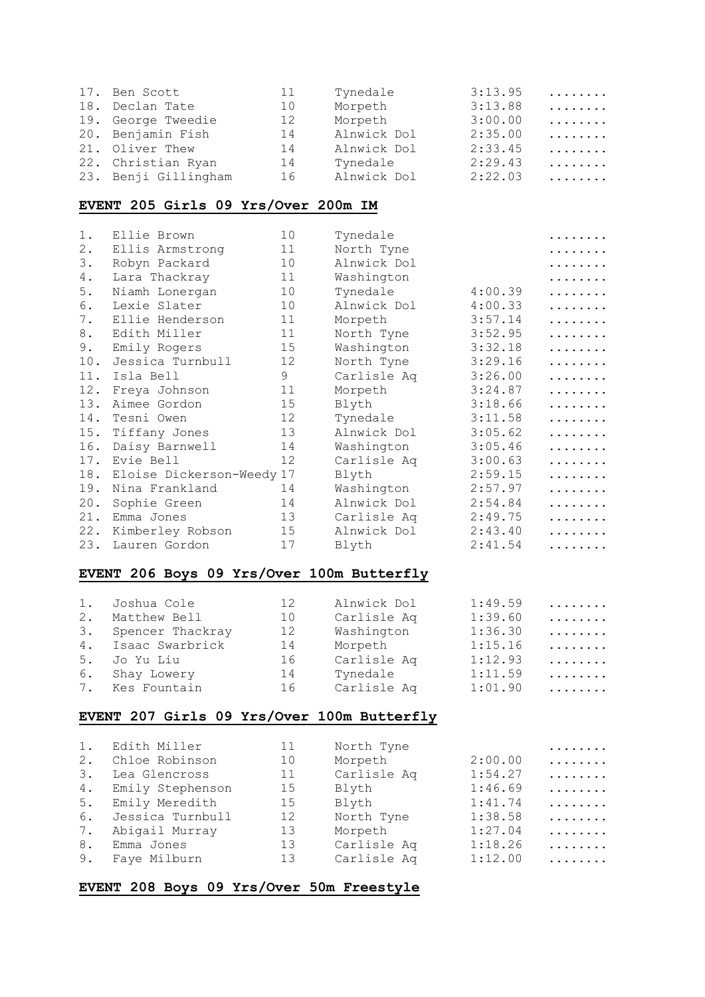| 17. Ben Scott        | 11 | Tynedale    | 3:13.95 | . |
|----------------------|----|-------------|---------|---|
| 18. Declan Tate      | 10 | Morpeth     | 3:13.88 | . |
| 19. George Tweedie   | 12 | Morpeth     | 3:00.00 | . |
| 20. Benjamin Fish    | 14 | Alnwick Dol | 2:35.00 | . |
| 21. Oliver Thew      | 14 | Alnwick Dol | 2:33.45 | . |
| 22. Christian Ryan   | 14 | Tynedale    | 2:29.43 | . |
| 23. Benji Gillingham | 16 | Alnwick Dol | 2:22.03 | . |

## **EVENT 205 Girls 09 Yrs/Over 200m IM**

| $1$ . | Ellie Brown               | 10 | Tynedale    |         | . |
|-------|---------------------------|----|-------------|---------|---|
| $2$ . | Ellis Armstrong           | 11 | North Tyne  |         | . |
| 3.    | Robyn Packard             | 10 | Alnwick Dol |         | . |
| 4.    | Lara Thackray             | 11 | Washington  |         | . |
| 5.    | Niamh Lonergan            | 10 | Tynedale    | 4:00.39 | . |
| 6.    | Lexie Slater              | 10 | Alnwick Dol | 4:00.33 | . |
| 7.    | Ellie Henderson           | 11 | Morpeth     | 3:57.14 | . |
| 8.    | Edith Miller              | 11 | North Tyne  | 3:52.95 | . |
| 9.    | Emily Rogers              | 15 | Washington  | 3:32.18 | . |
| 10.   | Jessica Turnbull          | 12 | North Tyne  | 3:29.16 | . |
| 11.   | Isla Bell                 | 9  | Carlisle Aq | 3:26.00 | . |
| 12.   | Freya Johnson             | 11 | Morpeth     | 3:24.87 | . |
| 13.   | Aimee Gordon              | 15 | Blyth       | 3:18.66 | . |
| 14.   | Tesni Owen                | 12 | Tynedale    | 3:11.58 | . |
| 15.   | Tiffany Jones             | 13 | Alnwick Dol | 3:05.62 | . |
| 16.   | Daisy Barnwell            | 14 | Washington  | 3:05.46 | . |
| 17.   | Evie Bell                 | 12 | Carlisle Aq | 3:00.63 | . |
| 18.   | Eloise Dickerson-Weedy 17 |    | Blyth       | 2:59.15 | . |
| 19.   | Nina Frankland            | 14 | Washington  | 2:57.97 | . |
| 20.   | Sophie Green              | 14 | Alnwick Dol | 2:54.84 | . |
| 21.   | Emma Jones                | 13 | Carlisle Aq | 2:49.75 | . |
| 22.   | Kimberley Robson          | 15 | Alnwick Dol | 2:43.40 | . |
| 23.   | Lauren Gordon             | 17 | Blyth       | 2:41.54 | . |

#### **EVENT 206 Boys 09 Yrs/Over 100m Butterfly**

| 1. | Joshua Cole         | 12 <sup>7</sup> | Alnwick Dol | 1:49.59 | . |
|----|---------------------|-----------------|-------------|---------|---|
| 2. | Matthew Bell        | 10              | Carlisle Aq | 1:39.60 | . |
|    | 3. Spencer Thackray | 12              | Washington  | 1:36.30 | . |
|    | 4. Isaac Swarbrick  | 14              | Morpeth     | 1:15.16 | . |
|    | 5. Jo Yu Liu        | 16              | Carlisle Aq | 1:12.93 | . |
| 6. | Shay Lowery         | 14              | Tynedale    | 1:11.59 | . |
|    | 7. Kes Fountain     | 16              | Carlisle Aq | 1:01.90 | . |

#### **EVENT 207 Girls 09 Yrs/Over 100m Butterfly**

| 1.              | Edith Miller     | 11 | North Tyne  |         | . |
|-----------------|------------------|----|-------------|---------|---|
| 2.              | Chloe Robinson   | 10 | Morpeth     | 2:00.00 | . |
| $\mathcal{E}$ . | Lea Glencross    | 11 | Carlisle Aq | 1:54.27 | . |
| 4.              | Emily Stephenson | 15 | Blyth       | 1:46.69 | . |
| 5.              | Emily Meredith   | 15 | Blyth       | 1:41.74 | . |
| 6.              | Jessica Turnbull | 12 | North Tyne  | 1:38.58 | . |
| 7.              | Abigail Murray   | 13 | Morpeth     | 1:27.04 | . |
| 8.              | Emma Jones       | 13 | Carlisle Aq | 1:18.26 | . |
| 9.              | Faye Milburn     | 13 | Carlisle Aq | 1:12.00 | . |

#### **EVENT 208 Boys 09 Yrs/Over 50m Freestyle**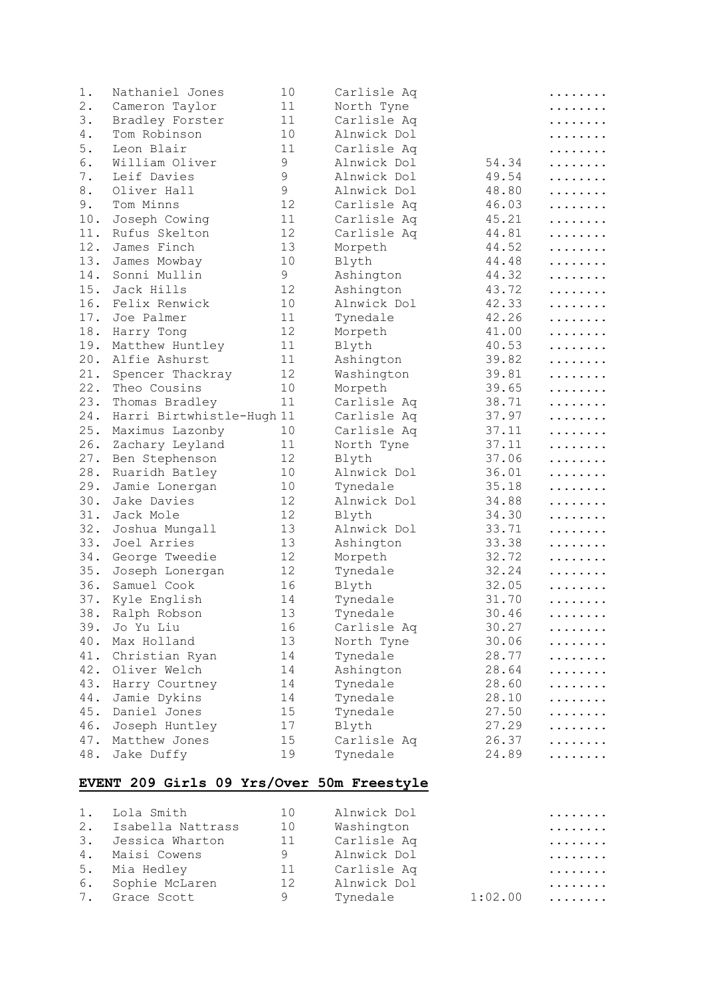| 1.    | Nathaniel Jones           | 10 | Carlisle Aq            |       | . |
|-------|---------------------------|----|------------------------|-------|---|
| $2$ . | Cameron Taylor            | 11 | North Tyne             |       | . |
| 3.    | Bradley Forster           | 11 | Carlisle Aq            |       | . |
| 4.    | Tom Robinson              | 10 | Alnwick Dol            |       | . |
| 5.    | Leon Blair                | 11 | Carlisle Aq            |       | . |
| 6.    | William Oliver            | 9  | Alnwick Dol            | 54.34 | . |
| 7.    | Leif Davies               | 9  | Alnwick Dol            | 49.54 | . |
| 8.    | Oliver Hall               | 9  | Alnwick Dol            | 48.80 | . |
| 9.    | Tom Minns                 | 12 | Carlisle Aq            | 46.03 | . |
| 10.   | Joseph Cowing             | 11 | Carlisle Aq            | 45.21 | . |
| 11.   | Rufus Skelton             | 12 | Carlisle Aq            | 44.81 | . |
| 12.   | James Finch               | 13 | Morpeth                | 44.52 | . |
| 13.   | James Mowbay              | 10 | Blyth                  | 44.48 | . |
| 14.   | Sonni Mullin              | 9  | Ashington              | 44.32 | . |
| 15.   | Jack Hills                | 12 | Ashington              | 43.72 | . |
| 16.   | Felix Renwick             | 10 | Alnwick Dol            | 42.33 | . |
| 17.   | Joe Palmer                | 11 | Tynedale               | 42.26 | . |
| 18.   | Harry Tong                | 12 | Morpeth                | 41.00 | . |
| 19.   | Matthew Huntley           | 11 | Blyth                  | 40.53 | . |
| 20.   | Alfie Ashurst             | 11 | Ashington              | 39.82 | . |
| 21.   | Spencer Thackray          | 12 | Washington             | 39.81 |   |
| 22.   | Theo Cousins              | 10 |                        | 39.65 | . |
| 23.   |                           | 11 | Morpeth<br>Carlisle Aq | 38.71 | . |
|       | Thomas Bradley            |    |                        | 37.97 | . |
| 24.   | Harri Birtwhistle-Hugh 11 |    | Carlisle Aq            |       | . |
| 25.   | Maximus Lazonby           | 10 | Carlisle Aq            | 37.11 | . |
| 26.   | Zachary Leyland           | 11 | North Tyne             | 37.11 | . |
| 27.   | Ben Stephenson            | 12 | Blyth                  | 37.06 | . |
| 28.   | Ruaridh Batley            | 10 | Alnwick Dol            | 36.01 | . |
| 29.   | Jamie Lonergan            | 10 | Tynedale               | 35.18 | . |
| 30.   | Jake Davies               | 12 | Alnwick Dol            | 34.88 | . |
| 31.   | Jack Mole                 | 12 | Blyth                  | 34.30 | . |
| 32.   | Joshua Mungall            | 13 | Alnwick Dol            | 33.71 | . |
| 33.   | Joel Arries               | 13 | Ashington              | 33.38 | . |
| 34.   | George Tweedie            | 12 | Morpeth                | 32.72 | . |
| 35.   | Joseph Lonergan           | 12 | Tynedale               | 32.24 | . |
| 36.   | Samuel Cook               | 16 | Blyth                  | 32.05 | . |
| 37.   | Kyle English              | 14 | Tynedale               | 31.70 | . |
| 38.   | Ralph Robson              | 13 | Tynedale               | 30.46 | . |
| 39.   | Jo Yu Liu                 | 16 | Carlisle Aq            | 30.27 | . |
| 40.   | Max Holland               | 13 | North Tyne             | 30.06 | . |
| 41.   | Christian Ryan            | 14 | Tynedale               | 28.77 | . |
| 42.   | Oliver Welch              | 14 | Ashington              | 28.64 | . |
| 43.   | Harry Courtney            | 14 | Tynedale               | 28.60 | . |
| 44.   | Jamie Dykins              | 14 | Tynedale               | 28.10 | . |
| 45.   | Daniel Jones              | 15 | Tynedale               | 27.50 | . |
| 46.   | Joseph Huntley            | 17 | Blyth                  | 27.29 | . |
| 47.   | Matthew Jones             | 15 | Carlisle Aq            | 26.37 | . |
| 48.   | Jake Duffy                | 19 | Tynedale               | 24.89 | . |

# **EVENT 209 Girls 09 Yrs/Over 50m Freestyle**

| 1. Lola Smith        | 10           | Alnwick Dol |         | . |
|----------------------|--------------|-------------|---------|---|
| 2. Isabella Nattrass | $10^{\circ}$ | Washington  |         | . |
| 3. Jessica Wharton   | 11           | Carlisle Aq |         | . |
| 4. Maisi Cowens      | 9            | Alnwick Dol |         | . |
| 5. Mia Hedley        | 11           | Carlisle Aq |         | . |
| 6. Sophie McLaren    | 12           | Alnwick Dol |         | . |
| 7. Grace Scott       | 9            | Tynedale    | 1:02.00 | . |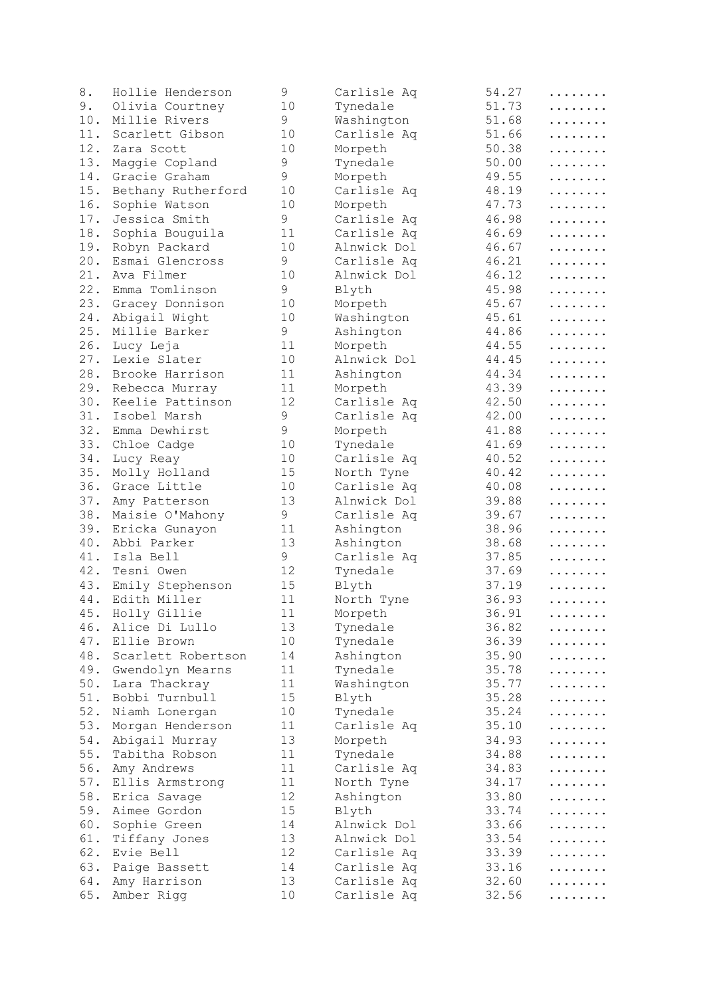| 8.    | Hollie Henderson   | 9  | Carlisle Aq | 54.27 | . |
|-------|--------------------|----|-------------|-------|---|
| 9.    | Olivia Courtney    | 10 | Tynedale    | 51.73 | . |
| 10.   | Millie Rivers      | 9  | Washington  | 51.68 | . |
| 11.   | Scarlett Gibson    | 10 | Carlisle Aq | 51.66 | . |
| 12.   | Zara Scott         | 10 | Morpeth     | 50.38 | . |
| 13.   | Maggie Copland     | 9  | Tynedale    | 50.00 | . |
| 14.   | Gracie Graham      | 9  | Morpeth     | 49.55 | . |
| 15.   | Bethany Rutherford | 10 | Carlisle Aq | 48.19 | . |
| 16.   | Sophie Watson      | 10 | Morpeth     | 47.73 | . |
| 17.   | Jessica Smith      | 9  | Carlisle Aq | 46.98 | . |
| 18.   | Sophia Bouguila    | 11 | Carlisle Aq | 46.69 | . |
| 19.   | Robyn Packard      | 10 | Alnwick Dol | 46.67 | . |
| 20.   | Esmai Glencross    | 9  | Carlisle Aq | 46.21 | . |
| 21.   | Ava Filmer         | 10 | Alnwick Dol | 46.12 | . |
| 22.   | Emma Tomlinson     | 9  | Blyth       | 45.98 | . |
| 23.   | Gracey Donnison    | 10 | Morpeth     | 45.67 | . |
| 24.   | Abigail Wight      | 10 | Washington  | 45.61 | . |
| 25.   | Millie Barker      | 9  | Ashington   | 44.86 | . |
| 26.   | Lucy Leja          | 11 | Morpeth     | 44.55 | . |
| 27.   | Lexie Slater       | 10 | Alnwick Dol | 44.45 | . |
| 28.   | Brooke Harrison    | 11 | Ashington   | 44.34 | . |
| 29.   | Rebecca Murray     | 11 | Morpeth     | 43.39 |   |
| 30.   | Keelie Pattinson   | 12 |             | 42.50 | . |
|       |                    |    | Carlisle Aq |       | . |
| 31.   | Isobel Marsh       | 9  | Carlisle Aq | 42.00 | . |
| 32.   | Emma Dewhirst      | 9  | Morpeth     | 41.88 | . |
| 33.   | Chloe Cadge        | 10 | Tynedale    | 41.69 | . |
| 34.   | Lucy Reay          | 10 | Carlisle Aq | 40.52 | . |
| 35.   | Molly Holland      | 15 | North Tyne  | 40.42 | . |
| 36.   | Grace Little       | 10 | Carlisle Aq | 40.08 | . |
| 37.   | Amy Patterson      | 13 | Alnwick Dol | 39.88 | . |
| 38.   | Maisie O'Mahony    | 9  | Carlisle Aq | 39.67 | . |
| 39.   | Ericka Gunayon     | 11 | Ashington   | 38.96 | . |
| 40.   | Abbi Parker        | 13 | Ashington   | 38.68 | . |
| 41.   | Isla Bell          | 9  | Carlisle Aq | 37.85 | . |
| 42.   | Tesni Owen         | 12 | Tynedale    | 37.69 | . |
| 43.   | Emily Stephenson   | 15 | Blyth       | 37.19 | . |
| 44.   | Edith Miller       | 11 | North Tyne  | 36.93 | . |
| 45.   | Holly Gillie       | 11 | Morpeth     | 36.91 | . |
| 46.   | Alice Di Lullo     | 13 | Tynedale    | 36.82 | . |
| 47.   | Ellie Brown        | 10 | Tynedale    | 36.39 | . |
| 48.   | Scarlett Robertson | 14 | Ashington   | 35.90 | . |
| 49.   | Gwendolyn Mearns   | 11 | Tynedale    | 35.78 | . |
| $50.$ | Lara Thackray      | 11 | Washington  | 35.77 | . |
| 51.   | Bobbi Turnbull     | 15 | Blyth       | 35.28 | . |
| 52.   | Niamh Lonergan     | 10 | Tynedale    | 35.24 | . |
| 53.   | Morgan Henderson   | 11 | Carlisle Aq | 35.10 | . |
| $54.$ | Abigail Murray     | 13 | Morpeth     | 34.93 | . |
| $55.$ | Tabitha Robson     | 11 | Tynedale    | 34.88 | . |
| 56.   | Amy Andrews        | 11 | Carlisle Aq | 34.83 | . |
| $57.$ | Ellis Armstrong    | 11 | North Tyne  | 34.17 | . |
| $58.$ | Erica Savage       | 12 | Ashington   | 33.80 | . |
| 59.   | Aimee Gordon       | 15 | Blyth       | 33.74 | . |
| 60.   | Sophie Green       | 14 | Alnwick Dol | 33.66 | . |
| 61.   | Tiffany Jones      | 13 | Alnwick Dol | 33.54 | . |
| 62.   | Evie Bell          | 12 | Carlisle Aq | 33.39 | . |
| 63.   | Paige Bassett      | 14 | Carlisle Aq | 33.16 | . |
| 64.   | Amy Harrison       | 13 | Carlisle Aq | 32.60 | . |
| 65.   | Amber Rigg         | 10 | Carlisle Aq | 32.56 |   |
|       |                    |    |             |       |   |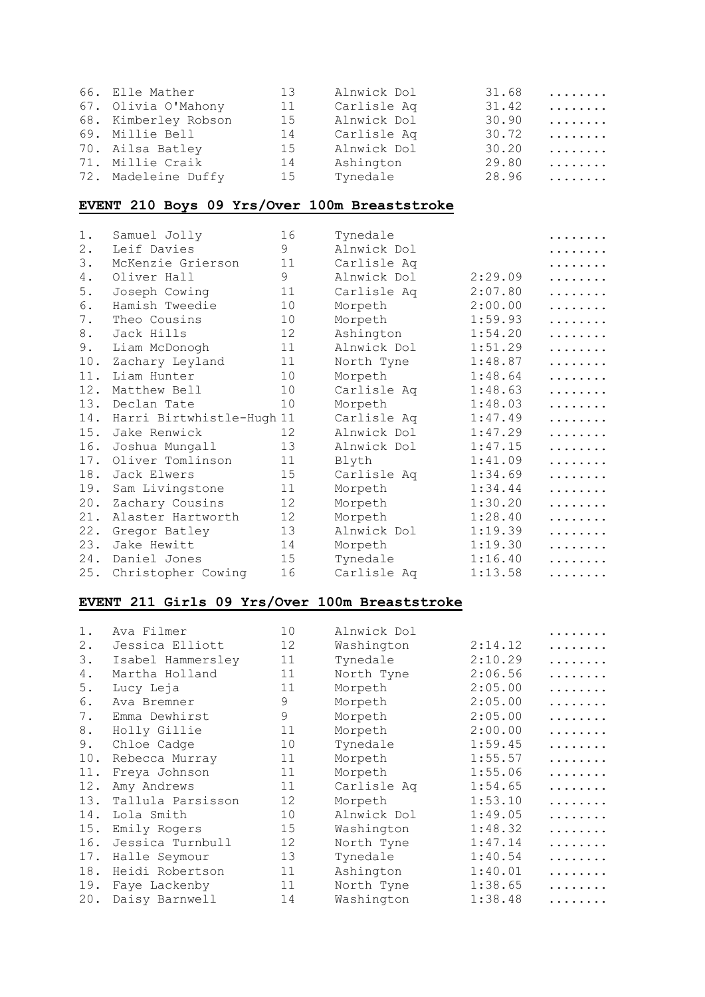| 66. Elle Mather      | 13 | Alnwick Dol | 31.68 | . |
|----------------------|----|-------------|-------|---|
| 67. Olivia O'Mahony  | 11 | Carlisle Aq | 31.42 | . |
| 68. Kimberley Robson | 15 | Alnwick Dol | 30.90 | . |
| 69. Millie Bell      | 14 | Carlisle Aq | 30.72 | . |
| 70. Ailsa Batley     | 15 | Alnwick Dol | 30.20 | . |
| 71. Millie Craik     | 14 | Ashington   | 29.80 | . |
| 72. Madeleine Duffy  | 15 | Tynedale    | 28.96 | . |

## **EVENT 210 Boys 09 Yrs/Over 100m Breaststroke**

| $1$ . | Samuel Jolly              | 16 | Tynedale    |         | . |
|-------|---------------------------|----|-------------|---------|---|
| $2$ . | Leif Davies               | 9  | Alnwick Dol |         | . |
| 3.    | McKenzie Grierson         | 11 | Carlisle Aq |         | . |
| 4.    | Oliver Hall               | 9  | Alnwick Dol | 2:29.09 | . |
| 5.    | Joseph Cowing             | 11 | Carlisle Aq | 2:07.80 | . |
| 6.    | Hamish Tweedie            | 10 | Morpeth     | 2:00.00 | . |
| 7.    | Theo Cousins              | 10 | Morpeth     | 1:59.93 | . |
| 8.    | Jack Hills                | 12 | Ashington   | 1:54.20 | . |
| 9.    | Liam McDonogh             | 11 | Alnwick Dol | 1:51.29 | . |
| 10.   | Zachary Leyland           | 11 | North Tyne  | 1:48.87 | . |
| 11.   | Liam Hunter               | 10 | Morpeth     | 1:48.64 | . |
| 12.   | Matthew Bell              | 10 | Carlisle Aq | 1:48.63 | . |
| 13.   | Declan Tate               | 10 | Morpeth     | 1:48.03 | . |
| 14.   | Harri Birtwhistle-Hugh 11 |    | Carlisle Aq | 1:47.49 | . |
| 15.   | Jake Renwick              | 12 | Alnwick Dol | 1:47.29 | . |
| 16.   | Joshua Mungall            | 13 | Alnwick Dol | 1:47.15 | . |
| 17.   | Oliver Tomlinson          | 11 | Blyth       | 1:41.09 | . |
| 18.   | Jack Elwers               | 15 | Carlisle Aq | 1:34.69 | . |
| 19.   | Sam Livingstone           | 11 | Morpeth     | 1:34.44 | . |
| 20.   | Zachary Cousins           | 12 | Morpeth     | 1:30.20 | . |
| 21.   | Alaster Hartworth         | 12 | Morpeth     | 1:28.40 | . |
| 22.   | Gregor Batley             | 13 | Alnwick Dol | 1:19.39 | . |
| 23.   | Jake Hewitt               | 14 | Morpeth     | 1:19.30 | . |
| 24.   | Daniel Jones              | 15 | Tynedale    | 1:16.40 | . |
| 25.   | Christopher Cowing        | 16 | Carlisle Aq | 1:13.58 | . |

#### **EVENT 211 Girls 09 Yrs/Over 100m Breaststroke**

| $1$ . | Ava Filmer        | 10 | Alnwick Dol |         |   |
|-------|-------------------|----|-------------|---------|---|
| $2$ . | Jessica Elliott   | 12 | Washington  | 2:14.12 | . |
| 3.    | Isabel Hammersley | 11 | Tynedale    | 2:10.29 | . |
| 4.    | Martha Holland    | 11 | North Tyne  | 2:06.56 | . |
| 5.    | Lucy Leja         | 11 | Morpeth     | 2:05.00 | . |
| 6.    | Ava Bremner       | 9  | Morpeth     | 2:05.00 | . |
| 7.    | Emma Dewhirst     | 9  | Morpeth     | 2:05.00 | . |
| 8.    | Holly Gillie      | 11 | Morpeth     | 2:00.00 | . |
| 9.    | Chloe Cadge       | 10 | Tynedale    | 1:59.45 | . |
| 10.   | Rebecca Murray    | 11 | Morpeth     | 1:55.57 | . |
| 11.   | Freya Johnson     | 11 | Morpeth     | 1:55.06 | . |
| 12.   | Amy Andrews       | 11 | Carlisle Aq | 1:54.65 | . |
| 13.   | Tallula Parsisson | 12 | Morpeth     | 1:53.10 | . |
| 14.   | Lola Smith        | 10 | Alnwick Dol | 1:49.05 | . |
| 15.   | Emily Rogers      | 15 | Washington  | 1:48.32 | . |
| 16.   | Jessica Turnbull  | 12 | North Tyne  | 1:47.14 | . |
| 17.   | Halle Seymour     | 13 | Tynedale    | 1:40.54 | . |
| 18.   | Heidi Robertson   | 11 | Ashington   | 1:40.01 | . |
| 19.   | Faye Lackenby     | 11 | North Tyne  | 1:38.65 |   |
| 20.   | Daisy Barnwell    | 14 | Washington  | 1:38.48 | . |